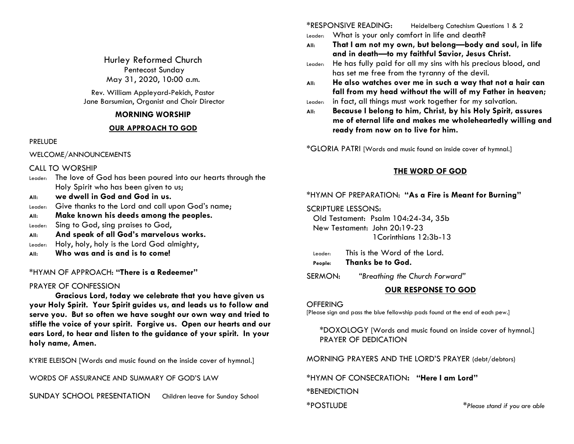Hurley Reformed Church Pentecost Sunday May 31, 2020, 10:00 a.m.

Rev. William Appleyard-Pekich, Pastor Jane Barsumian, Organist and Choir Director

### **MORNING WORSHIP**

### **OUR APPROACH TO GOD**

### PRELUDE

WELCOME/ANNOUNCEMENTS

### CALL TO WORSHIP

- Leader: The love of God has been poured into our hearts through the Holy Spirit who has been given to us;
- **All: we dwell in God and God in us.**
- Leader: Give thanks to the Lord and call upon God's name;
- **All: Make known his deeds among the peoples.**
- Leader: Sing to God, sing praises to God,
- **All: And speak of all God's marvelous works.**
- Leader: Holy, holy, holy is the Lord God almighty,
- **All: Who was and is and is to come!**

### \*HYMN OF APPROACH: **"There is a Redeemer"**

### PRAYER OF CONFESSION

**Gracious Lord, today we celebrate that you have given us your Holy Spirit. Your Spirit guides us, and leads us to follow and serve you. But so often we have sought our own way and tried to stifle the voice of your spirit. Forgive us. Open our hearts and our ears Lord, to hear and listen to the guidance of your spirit. In your holy name, Amen.**

KYRIE ELEISON [Words and music found on the inside cover of hymnal.]

WORDS OF ASSURANCE AND SUMMARY OF GOD'S LAW

SUNDAY SCHOOL PRESENTATION Children leave for Sunday School

\*RESPONSIVE READING: Heidelberg Catechism Questions 1 & 2 Leader: What is your only comfort in life and death?

- **All: That I am not my own, but belong—body and soul, in life and in death—to my faithful Savior, Jesus Christ.**
- Leader: He has fully paid for all my sins with his precious blood, and has set me free from the tyranny of the devil.
- **All: He also watches over me in such a way that not a hair can fall from my head without the will of my Father in heaven;**
- Leader: in fact, all things must work together for my salvation.
- **All: Because I belong to him, Christ, by his Holy Spirit, assures me of eternal life and makes me wholeheartedly willing and ready from now on to live for him.**

\*GLORIA PATRI [Words and music found on inside cover of hymnal.]

### **THE WORD OF GOD**

### \*HYMN OF PREPARATION: **"As a Fire is Meant for Burning"**

SCRIPTURE LESSONS: Old Testament: Psalm 104:24-34, 35b New Testament: John 20:19-23 1Corinthians 12:3b-13

Leader: This is the Word of the Lord. **People: Thanks be to God.**

SERMON: *"Breathing the Church Forward"*

## **OUR RESPONSE TO GOD**

### **OFFERING**

[Please sign and pass the blue fellowship pads found at the end of each pew.]

\*DOXOLOGY [Words and music found on inside cover of hymnal.] PRAYER OF DEDICATION

MORNING PRAYERS AND THE LORD'S PRAYER (debt/debtors)

\*HYMN OF CONSECRATION**: "Here I am Lord"**

**\***BENEDICTION

\*POSTLUDE \**Please stand if you are able*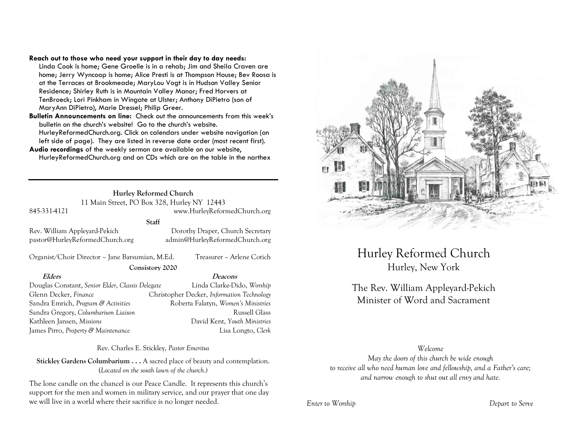#### **Reach out to those who need your support in their day to day needs:**

Linda Cook is home; Gene Groelle is in a rehab; Jim and Sheila Craven are home; Jerry Wyncoop is home; Alice Presti is at Thompson House; Bev Roosa is at the Terraces at Brookmeade; MaryLou Vogt is in Hudson Valley Senior Residence; Shirley Ruth is in Mountain Valley Manor; Fred Horvers at TenBroeck; Lori Pinkham in Wingate at Ulster; Anthony DiPietro (son of MaryAnn DiPietro), Marie Dressel; Philip Greer.

**Bulletin Announcements on line:** Check out the announcements from this week's bulletin on the church's website! Go to the church's website. HurleyReformedChurch.org. Click on calendars under website navigation (on left side of page). They are listed in reverse date order (most recent first).

**Audio recordings** of the weekly sermon are available on our website, HurleyReformedChurch.org and on CDs which are on the table in the narthex

#### **Hurley Reformed Church**

11 Main Street, PO Box 328, Hurley NY 12443 845-331-4121 www.HurleyReformedChurch.org **Staff** Rev. William Appleyard-Pekich Dorothy Draper, Church Secretary

pastor@HurleyReformedChurch.org admin@HurleyReformedChurch.org

Organist/Choir Director – Jane Barsumian, M.Ed. Treasurer – Arlene Cotich

#### **Consistory 2020**

## **Elders Deacons**

Douglas Constant, *Senior Elder*, *Classis Delegate* Linda Clarke-Dido, *Worship* Glenn Decker, *Finance* Christopher Decker, *Information Technology* Sandra Emrich, *Program & Activities* Roberta Falatyn, *Women's Ministries* Sandra Gregory, *Columbarium Liaison* **Russell Glass** Russell Glass Kathleen Jansen, *Missions* David Kent, *Youth Ministries* James Pirro, *Property & Maintenance* Lisa Longto, *Clerk*

Rev. Charles E. Stickley, *Pastor Emeritus*

**Stickley Gardens Columbarium . . .** A sacred place of beauty and contemplation. (*Located on the south lawn of the church.)* 

The lone candle on the chancel is our Peace Candle. It represents this church's support for the men and women in military service, and our prayer that one day we will live in a world where their sacrifice is no longer needed.



Hurley Reformed Church Hurley, New York

# The Rev. William Appleyard-Pekich Minister of Word and Sacrament

#### *Welcome*

*May the doors of this church be wide enough to receive all who need human love and fellowship, and a Father's care; and narrow enough to shut out all envy and hate.*

*Enter to Worship Depart to Serve*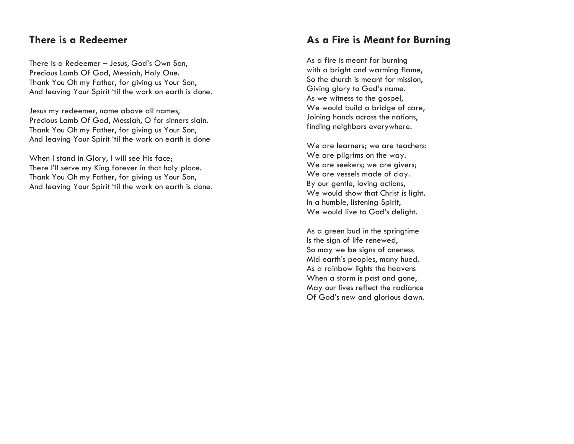# **There is a Redeemer**

There is a Redeemer – Jesus, God's Own Son, Precious Lamb Of God, Messiah, Holy One. Thank You Oh my Father, for giving us Your Son, And leaving Your Spirit 'til the work on earth is done .

Jesus my redeemer, name above all names, Precious Lamb Of God, Messiah, O for sinners slain . Thank You Oh my Father, for giving us Your Son, And leaving Your Spirit 'til the work on earth is done

When I stand in Glory, I will see His face; There I'll serve my King forever in that holy place. Thank You Oh my Father, for giving us Your Son, And leaving Your Spirit 'til the work on earth is done.

# **As a Fire is Meant for Burning**

As a fire is meant for burning with a bright and warming flame, So the church is meant for mission, Giving glory to God's name. As we witness to the gospel, We would build a bridge of care, Joining hands across the nations, finding neighbors everywhere.

We are learners; we are teachers: We are pilgrims on the way. We are seekers; we are givers; We are vessels made of clay. By our gentle, loving actions, We would show that Christ is light. In a humble, listening Spirit, We would live to God's delight.

As a green bud in the springtime Is the sign of life renewed, So may we be signs of oneness Mid earth's peoples, many hued. As a rainbow lights the heavens When a storm is past and gone, May our lives reflect the radiance Of God's new and glorious dawn.